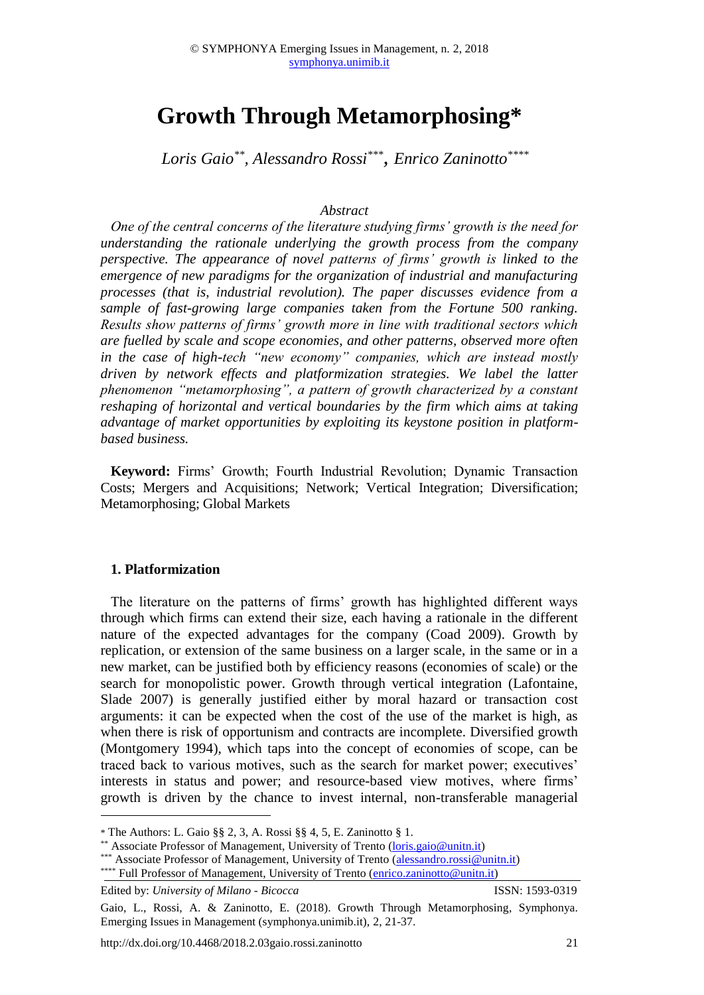# **Growth Through Metamorphosing\***

*Loris Gaio\*\* , Alessandro Rossi\*\*\* , Enrico Zaninotto\*\*\*\**

#### *Abstract*

*One of the central concerns of the literature studying firms' growth is the need for understanding the rationale underlying the growth process from the company perspective. The appearance of novel patterns of firms' growth is linked to the emergence of new paradigms for the organization of industrial and manufacturing processes (that is, industrial revolution). The paper discusses evidence from a sample of fast-growing large companies taken from the Fortune 500 ranking. Results show patterns of firms' growth more in line with traditional sectors which are fuelled by scale and scope economies, and other patterns, observed more often in the case of high-tech "new economy" companies, which are instead mostly driven by network effects and platformization strategies. We label the latter phenomenon "metamorphosing", a pattern of growth characterized by a constant reshaping of horizontal and vertical boundaries by the firm which aims at taking advantage of market opportunities by exploiting its keystone position in platformbased business.* 

**Keyword:** Firms' Growth; Fourth Industrial Revolution; Dynamic Transaction Costs; Mergers and Acquisitions; Network; Vertical Integration; Diversification; Metamorphosing; Global Markets

#### **1. Platformization**

1

The literature on the patterns of firms' growth has highlighted different ways through which firms can extend their size, each having a rationale in the different nature of the expected advantages for the company (Coad 2009). Growth by replication, or extension of the same business on a larger scale, in the same or in a new market, can be justified both by efficiency reasons (economies of scale) or the search for monopolistic power. Growth through vertical integration (Lafontaine, Slade 2007) is generally justified either by moral hazard or transaction cost arguments: it can be expected when the cost of the use of the market is high, as when there is risk of opportunism and contracts are incomplete. Diversified growth (Montgomery 1994), which taps into the concept of economies of scope, can be traced back to various motives, such as the search for market power; executives' interests in status and power; and resource-based view motives, where firms' growth is driven by the chance to invest internal, non-transferable managerial

\*\* Associate Professor of Management, University of Trento [\(loris.gaio@unitn.it\)](mailto:loris.gaio@unitn.it)

Edited by: *University of Milano - Bicocca* ISSN: 1593-0319

<sup>\*</sup> The Authors: L. Gaio §§ 2, 3, A. Rossi §§ 4, 5, E. Zaninotto § 1.

<sup>\*\*\*</sup> Associate Professor of Management, University of Trento [\(alessandro.rossi@unitn.it\)](mailto:alessandro.rossi@unitn.it) \*\*\*\* Full Professor of Management, University of Trento [\(enrico.zaninotto@unitn.it\)](mailto:enrico.zaninotto@unitn.it)

Gaio, L., Rossi, A. & Zaninotto, E. (2018). Growth Through Metamorphosing, Symphonya. Emerging Issues in Management (symphonya.unimib.it), 2, 21-37.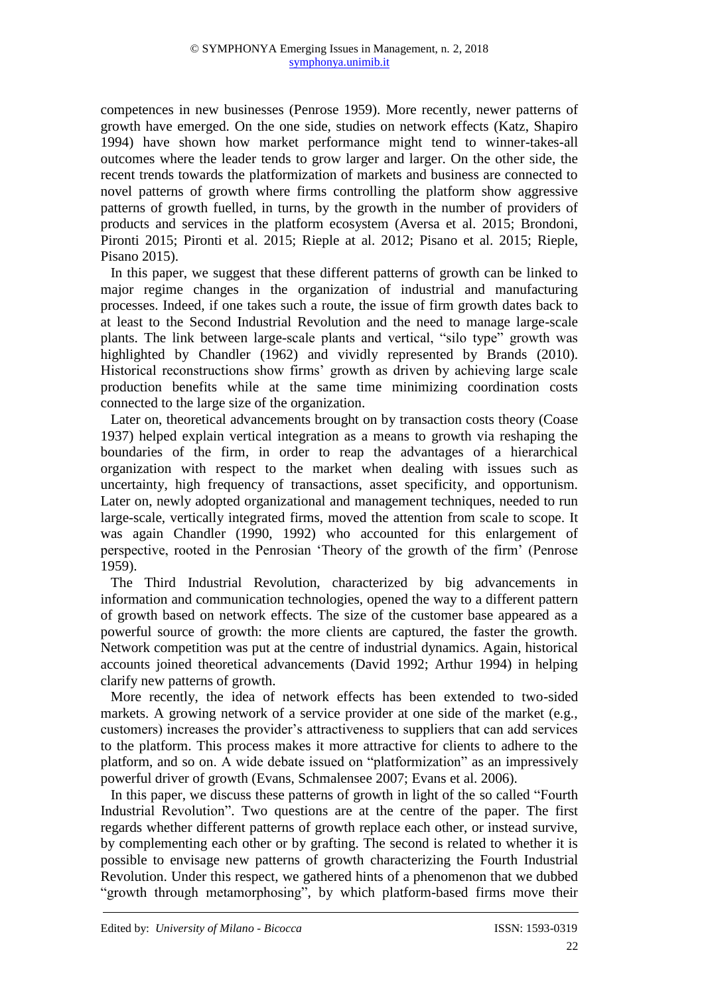competences in new businesses (Penrose 1959). More recently, newer patterns of growth have emerged. On the one side, studies on network effects (Katz, Shapiro 1994) have shown how market performance might tend to winner-takes-all outcomes where the leader tends to grow larger and larger. On the other side, the recent trends towards the platformization of markets and business are connected to novel patterns of growth where firms controlling the platform show aggressive patterns of growth fuelled, in turns, by the growth in the number of providers of products and services in the platform ecosystem (Aversa et al. 2015; Brondoni, Pironti 2015; Pironti et al. 2015; Rieple at al. 2012; Pisano et al. 2015; Rieple, Pisano 2015).

In this paper, we suggest that these different patterns of growth can be linked to major regime changes in the organization of industrial and manufacturing processes. Indeed, if one takes such a route, the issue of firm growth dates back to at least to the Second Industrial Revolution and the need to manage large-scale plants. The link between large-scale plants and vertical, "silo type" growth was highlighted by Chandler (1962) and vividly represented by Brands (2010). Historical reconstructions show firms' growth as driven by achieving large scale production benefits while at the same time minimizing coordination costs connected to the large size of the organization.

Later on, theoretical advancements brought on by transaction costs theory (Coase 1937) helped explain vertical integration as a means to growth via reshaping the boundaries of the firm, in order to reap the advantages of a hierarchical organization with respect to the market when dealing with issues such as uncertainty, high frequency of transactions, asset specificity, and opportunism. Later on, newly adopted organizational and management techniques, needed to run large-scale, vertically integrated firms, moved the attention from scale to scope. It was again Chandler (1990, 1992) who accounted for this enlargement of perspective, rooted in the Penrosian 'Theory of the growth of the firm' (Penrose 1959).

The Third Industrial Revolution, characterized by big advancements in information and communication technologies, opened the way to a different pattern of growth based on network effects. The size of the customer base appeared as a powerful source of growth: the more clients are captured, the faster the growth. Network competition was put at the centre of industrial dynamics. Again, historical accounts joined theoretical advancements (David 1992; Arthur 1994) in helping clarify new patterns of growth.

More recently, the idea of network effects has been extended to two-sided markets. A growing network of a service provider at one side of the market (e.g., customers) increases the provider's attractiveness to suppliers that can add services to the platform. This process makes it more attractive for clients to adhere to the platform, and so on. A wide debate issued on "platformization" as an impressively powerful driver of growth (Evans, Schmalensee 2007; Evans et al. 2006).

In this paper, we discuss these patterns of growth in light of the so called "Fourth Industrial Revolution". Two questions are at the centre of the paper. The first regards whether different patterns of growth replace each other, or instead survive, by complementing each other or by grafting. The second is related to whether it is possible to envisage new patterns of growth characterizing the Fourth Industrial Revolution. Under this respect, we gathered hints of a phenomenon that we dubbed "growth through metamorphosing", by which platform-based firms move their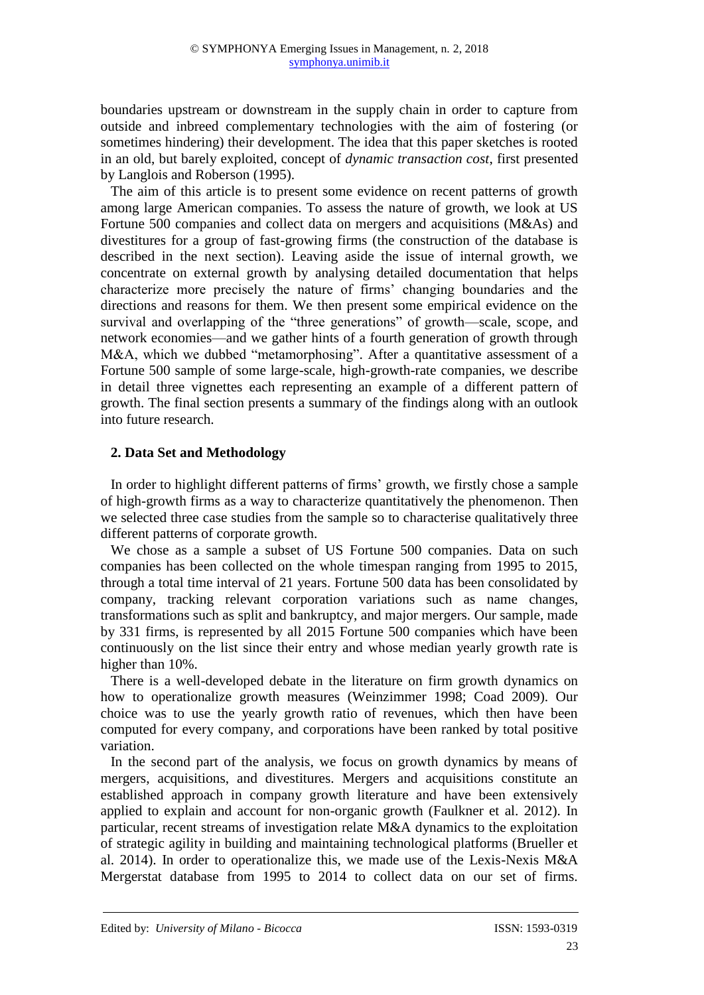boundaries upstream or downstream in the supply chain in order to capture from outside and inbreed complementary technologies with the aim of fostering (or sometimes hindering) their development. The idea that this paper sketches is rooted in an old, but barely exploited, concept of *dynamic transaction cost*, first presented by Langlois and Roberson (1995).

The aim of this article is to present some evidence on recent patterns of growth among large American companies. To assess the nature of growth, we look at US Fortune 500 companies and collect data on mergers and acquisitions (M&As) and divestitures for a group of fast-growing firms (the construction of the database is described in the next section). Leaving aside the issue of internal growth, we concentrate on external growth by analysing detailed documentation that helps characterize more precisely the nature of firms' changing boundaries and the directions and reasons for them. We then present some empirical evidence on the survival and overlapping of the "three generations" of growth—scale, scope, and network economies—and we gather hints of a fourth generation of growth through M&A, which we dubbed "metamorphosing". After a quantitative assessment of a Fortune 500 sample of some large-scale, high-growth-rate companies, we describe in detail three vignettes each representing an example of a different pattern of growth. The final section presents a summary of the findings along with an outlook into future research.

# **2. Data Set and Methodology**

In order to highlight different patterns of firms' growth, we firstly chose a sample of high-growth firms as a way to characterize quantitatively the phenomenon. Then we selected three case studies from the sample so to characterise qualitatively three different patterns of corporate growth.

We chose as a sample a subset of US Fortune 500 companies. Data on such companies has been collected on the whole timespan ranging from 1995 to 2015, through a total time interval of 21 years. Fortune 500 data has been consolidated by company, tracking relevant corporation variations such as name changes, transformations such as split and bankruptcy, and major mergers. Our sample, made by 331 firms, is represented by all 2015 Fortune 500 companies which have been continuously on the list since their entry and whose median yearly growth rate is higher than 10%.

There is a well-developed debate in the literature on firm growth dynamics on how to operationalize growth measures (Weinzimmer 1998; Coad 2009). Our choice was to use the yearly growth ratio of revenues, which then have been computed for every company, and corporations have been ranked by total positive variation.

In the second part of the analysis, we focus on growth dynamics by means of mergers, acquisitions, and divestitures. Mergers and acquisitions constitute an established approach in company growth literature and have been extensively applied to explain and account for non-organic growth (Faulkner et al. 2012). In particular, recent streams of investigation relate M&A dynamics to the exploitation of strategic agility in building and maintaining technological platforms (Brueller et al. 2014). In order to operationalize this, we made use of the Lexis-Nexis M&A Mergerstat database from 1995 to 2014 to collect data on our set of firms.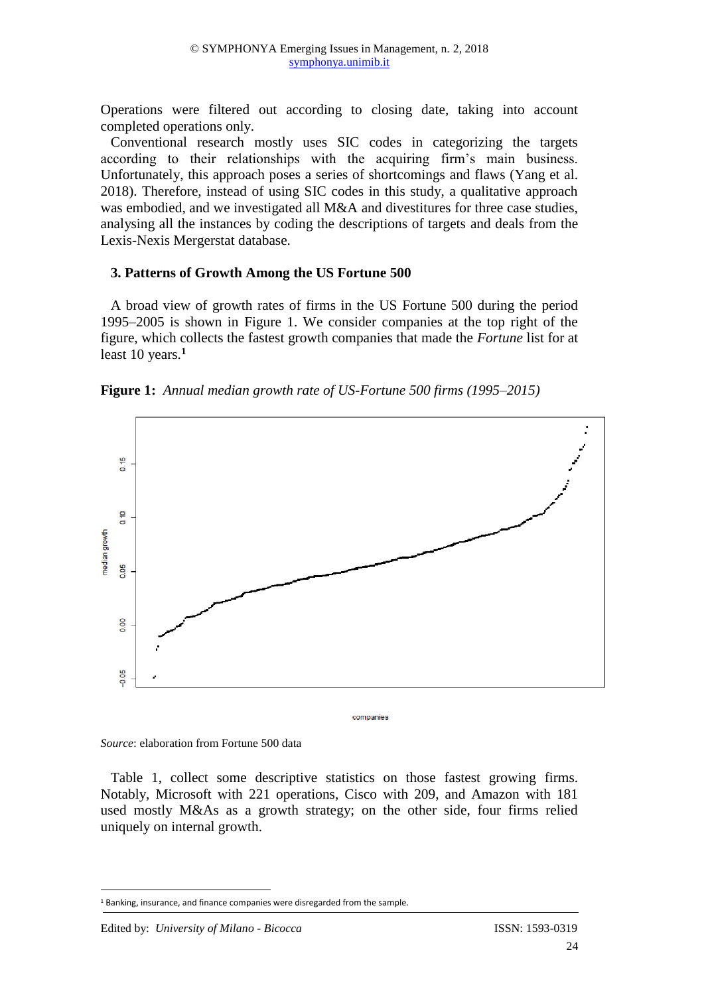Operations were filtered out according to closing date, taking into account completed operations only.

Conventional research mostly uses SIC codes in categorizing the targets according to their relationships with the acquiring firm's main business. Unfortunately, this approach poses a series of shortcomings and flaws (Yang et al. 2018). Therefore, instead of using SIC codes in this study, a qualitative approach was embodied, and we investigated all M&A and divestitures for three case studies, analysing all the instances by coding the descriptions of targets and deals from the Lexis-Nexis Mergerstat database.

#### **3. Patterns of Growth Among the US Fortune 500**

A broad view of growth rates of firms in the US Fortune 500 during the period 1995–2005 is shown in Figure 1. We consider companies at the top right of the figure, which collects the fastest growth companies that made the *Fortune* list for at least 10 years.**<sup>1</sup>**





*Source*: elaboration from Fortune 500 data

Table 1, collect some descriptive statistics on those fastest growing firms. Notably, Microsoft with 221 operations, Cisco with 209, and Amazon with 181 used mostly M&As as a growth strategy; on the other side, four firms relied uniquely on internal growth.

1

<sup>&</sup>lt;sup>1</sup> Banking, insurance, and finance companies were disregarded from the sample.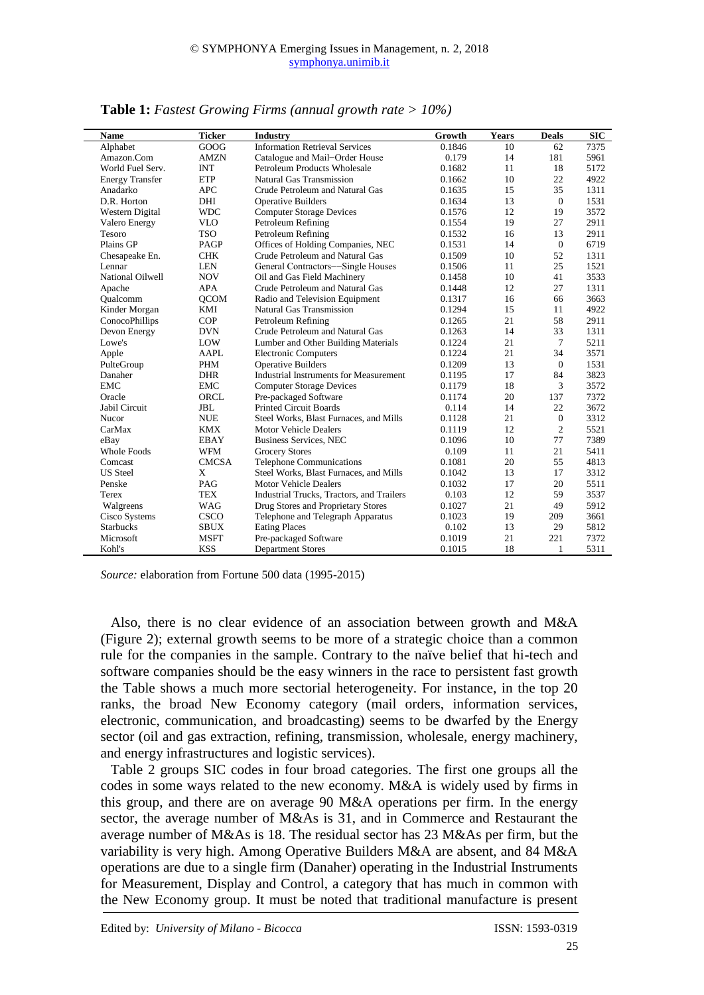| <b>Name</b>            | <b>Ticker</b> | Industry                                      | Growth | Years | <b>Deals</b>   | <b>SIC</b> |
|------------------------|---------------|-----------------------------------------------|--------|-------|----------------|------------|
| Alphabet               | GOOG          | <b>Information Retrieval Services</b>         | 0.1846 | 10    | 62             | 7375       |
| Amazon.Com             | <b>AMZN</b>   | Catalogue and Mail-Order House                | 0.179  | 14    | 181            | 5961       |
| World Fuel Serv.       | <b>INT</b>    | Petroleum Products Wholesale                  | 0.1682 | 11    | 18             | 5172       |
| <b>Energy Transfer</b> | <b>ETP</b>    | Natural Gas Transmission                      | 0.1662 | 10    | 22             | 4922       |
| Anadarko               | <b>APC</b>    | Crude Petroleum and Natural Gas               | 0.1635 | 15    | 35             | 1311       |
| D.R. Horton            | DHI           | <b>Operative Builders</b>                     | 0.1634 | 13    | $\mathbf{0}$   | 1531       |
| Western Digital        | <b>WDC</b>    | <b>Computer Storage Devices</b>               | 0.1576 | 12    | 19             | 3572       |
| Valero Energy          | <b>VLO</b>    | Petroleum Refining                            | 0.1554 | 19    | 27             | 2911       |
| Tesoro                 | <b>TSO</b>    | Petroleum Refining                            | 0.1532 | 16    | 13             | 2911       |
| Plains GP              | PAGP          | Offices of Holding Companies, NEC             | 0.1531 | 14    | $\overline{0}$ | 6719       |
| Chesapeake En.         | <b>CHK</b>    | Crude Petroleum and Natural Gas               | 0.1509 | 10    | 52             | 1311       |
| Lennar                 | <b>LEN</b>    | General Contractors-Single Houses             | 0.1506 | 11    | 25             | 1521       |
| National Oilwell       | <b>NOV</b>    | Oil and Gas Field Machinery                   | 0.1458 | 10    | 41             | 3533       |
| Apache                 | <b>APA</b>    | Crude Petroleum and Natural Gas               | 0.1448 | 12    | 27             | 1311       |
| Oualcomm               | <b>QCOM</b>   | Radio and Television Equipment                | 0.1317 | 16    | 66             | 3663       |
| Kinder Morgan          | KMI           | Natural Gas Transmission                      | 0.1294 | 15    | 11             | 4922       |
| ConocoPhillips         | <b>COP</b>    | Petroleum Refining                            | 0.1265 | 21    | 58             | 2911       |
| Devon Energy           | <b>DVN</b>    | Crude Petroleum and Natural Gas               | 0.1263 | 14    | 33             | 1311       |
| Lowe's                 | LOW           | Lumber and Other Building Materials           | 0.1224 | 21    | $\tau$         | 5211       |
| Apple                  | <b>AAPL</b>   | <b>Electronic Computers</b>                   | 0.1224 | 21    | 34             | 3571       |
| PulteGroup             | <b>PHM</b>    | <b>Operative Builders</b>                     | 0.1209 | 13    | $\theta$       | 1531       |
| Danaher                | <b>DHR</b>    | <b>Industrial Instruments for Measurement</b> | 0.1195 | 17    | 84             | 3823       |
| <b>EMC</b>             | <b>EMC</b>    | <b>Computer Storage Devices</b>               | 0.1179 | 18    | 3              | 3572       |
| Oracle                 | ORCL          | Pre-packaged Software                         | 0.1174 | 20    | 137            | 7372       |
| Jabil Circuit          | <b>JBL</b>    | <b>Printed Circuit Boards</b>                 | 0.114  | 14    | 22             | 3672       |
| Nucor                  | <b>NUE</b>    | Steel Works, Blast Furnaces, and Mills        | 0.1128 | 21    | $\mathbf{0}$   | 3312       |
| CarMax                 | <b>KMX</b>    | <b>Motor Vehicle Dealers</b>                  | 0.1119 | 12    | $\overline{2}$ | 5521       |
| eBay                   | <b>EBAY</b>   | <b>Business Services, NEC</b>                 | 0.1096 | 10    | 77             | 7389       |
| <b>Whole Foods</b>     | <b>WFM</b>    | <b>Grocery Stores</b>                         | 0.109  | 11    | 21             | 5411       |
| Comcast                | <b>CMCSA</b>  | Telephone Communications                      | 0.1081 | 20    | 55             | 4813       |
| <b>US</b> Steel        | X             | Steel Works, Blast Furnaces, and Mills        | 0.1042 | 13    | 17             | 3312       |
| Penske                 | PAG           | <b>Motor Vehicle Dealers</b>                  | 0.1032 | 17    | 20             | 5511       |
| <b>Terex</b>           | <b>TEX</b>    | Industrial Trucks, Tractors, and Trailers     | 0.103  | 12    | 59             | 3537       |
| Walgreens              | <b>WAG</b>    | Drug Stores and Proprietary Stores            | 0.1027 | 21    | 49             | 5912       |
| Cisco Systems          | CSCO          | Telephone and Telegraph Apparatus             | 0.1023 | 19    | 209            | 3661       |
| <b>Starbucks</b>       | <b>SBUX</b>   | <b>Eating Places</b>                          | 0.102  | 13    | 29             | 5812       |
| Microsoft              | <b>MSFT</b>   | Pre-packaged Software                         | 0.1019 | 21    | 221            | 7372       |
| Kohl's                 | <b>KSS</b>    | <b>Department Stores</b>                      | 0.1015 | 18    | 1              | 5311       |

**Table 1:** *Fastest Growing Firms (annual growth rate > 10%)*

*Source:* elaboration from Fortune 500 data (1995-2015)

Also, there is no clear evidence of an association between growth and M&A (Figure 2); external growth seems to be more of a strategic choice than a common rule for the companies in the sample. Contrary to the naïve belief that hi-tech and software companies should be the easy winners in the race to persistent fast growth the Table shows a much more sectorial heterogeneity. For instance, in the top 20 ranks, the broad New Economy category (mail orders, information services, electronic, communication, and broadcasting) seems to be dwarfed by the Energy sector (oil and gas extraction, refining, transmission, wholesale, energy machinery, and energy infrastructures and logistic services).

Table 2 groups SIC codes in four broad categories. The first one groups all the codes in some ways related to the new economy. M&A is widely used by firms in this group, and there are on average 90 M&A operations per firm. In the energy sector, the average number of M&As is 31, and in Commerce and Restaurant the average number of M&As is 18. The residual sector has 23 M&As per firm, but the variability is very high. Among Operative Builders M&A are absent, and 84 M&A operations are due to a single firm (Danaher) operating in the Industrial Instruments for Measurement, Display and Control, a category that has much in common with the New Economy group. It must be noted that traditional manufacture is present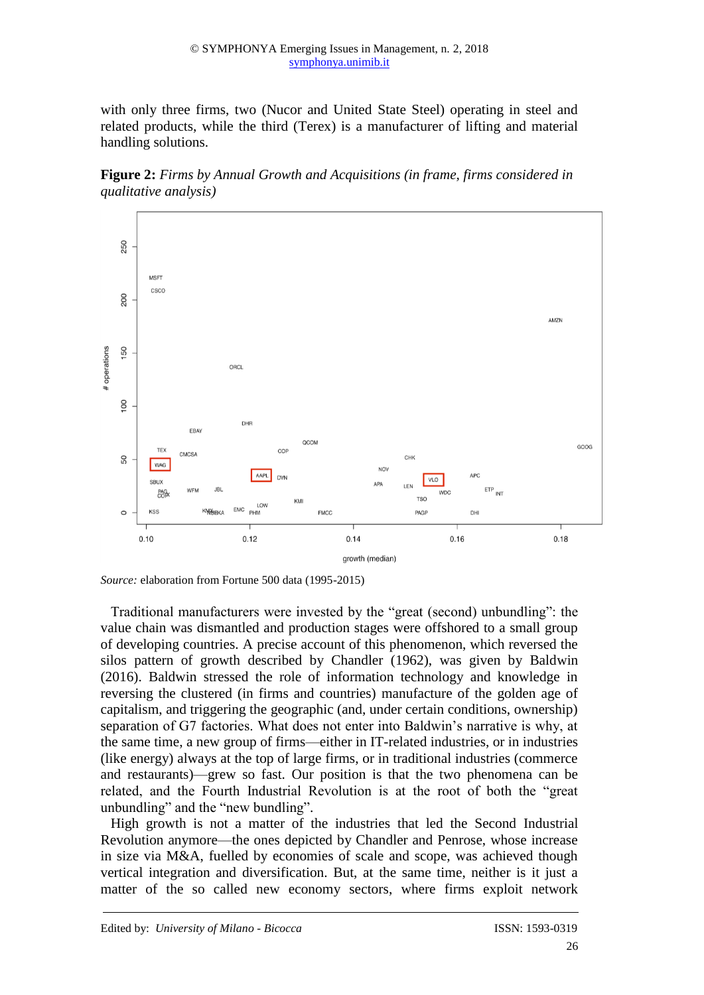with only three firms, two (Nucor and United State Steel) operating in steel and related products, while the third (Terex) is a manufacturer of lifting and material handling solutions.

**Figure 2:** *Firms by Annual Growth and Acquisitions (in frame, firms considered in qualitative analysis)*



*Source:* elaboration from Fortune 500 data (1995-2015)

Traditional manufacturers were invested by the "great (second) unbundling": the value chain was dismantled and production stages were offshored to a small group of developing countries. A precise account of this phenomenon, which reversed the silos pattern of growth described by Chandler (1962), was given by Baldwin (2016). Baldwin stressed the role of information technology and knowledge in reversing the clustered (in firms and countries) manufacture of the golden age of capitalism, and triggering the geographic (and, under certain conditions, ownership) separation of G7 factories. What does not enter into Baldwin's narrative is why, at the same time, a new group of firms—either in IT-related industries, or in industries (like energy) always at the top of large firms, or in traditional industries (commerce and restaurants)—grew so fast. Our position is that the two phenomena can be related, and the Fourth Industrial Revolution is at the root of both the "great unbundling" and the "new bundling".

High growth is not a matter of the industries that led the Second Industrial Revolution anymore—the ones depicted by Chandler and Penrose, whose increase in size via M&A, fuelled by economies of scale and scope, was achieved though vertical integration and diversification. But, at the same time, neither is it just a matter of the so called new economy sectors, where firms exploit network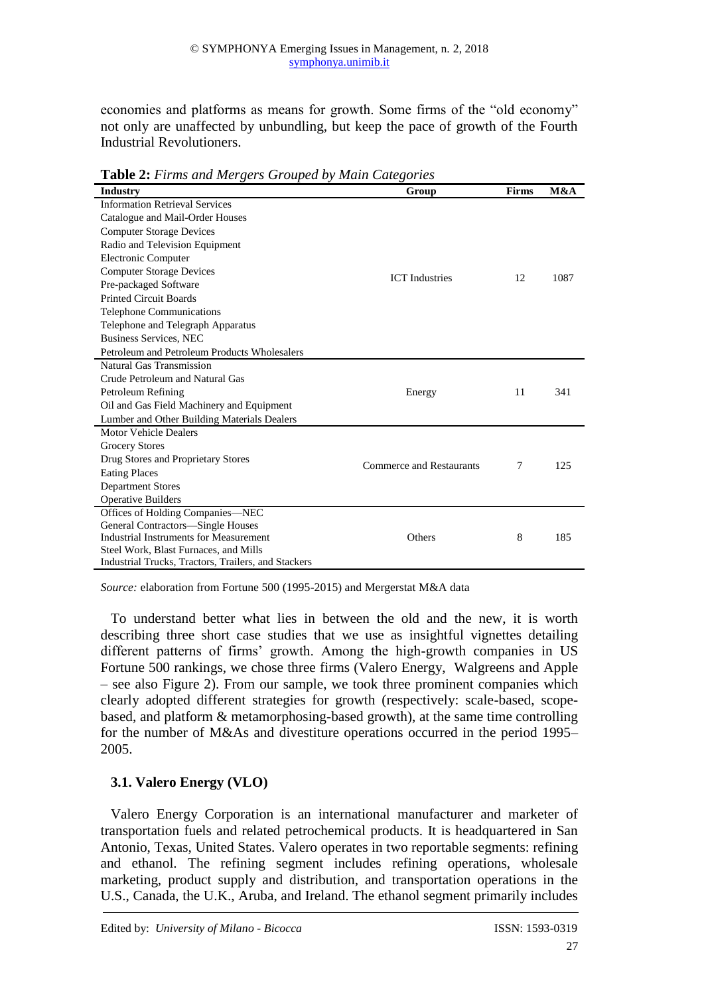economies and platforms as means for growth. Some firms of the "old economy" not only are unaffected by unbundling, but keep the pace of growth of the Fourth Industrial Revolutioners.

| <b>Lable 2.</b> Firms and mergers Grouped by main Categories |                                 |              |      |
|--------------------------------------------------------------|---------------------------------|--------------|------|
| Industry                                                     | Group                           | <b>Firms</b> | M&A  |
| <b>Information Retrieval Services</b>                        |                                 |              |      |
| Catalogue and Mail-Order Houses                              |                                 |              |      |
| <b>Computer Storage Devices</b>                              | <b>ICT</b> Industries           |              |      |
| Radio and Television Equipment                               |                                 |              |      |
| <b>Electronic Computer</b>                                   |                                 |              |      |
| <b>Computer Storage Devices</b>                              |                                 | 12           | 1087 |
| Pre-packaged Software                                        |                                 |              |      |
| <b>Printed Circuit Boards</b>                                |                                 |              |      |
| <b>Telephone Communications</b>                              |                                 |              |      |
| Telephone and Telegraph Apparatus                            |                                 |              |      |
| <b>Business Services, NEC</b>                                |                                 |              |      |
| Petroleum and Petroleum Products Wholesalers                 |                                 |              |      |
| Natural Gas Transmission                                     |                                 |              |      |
| Crude Petroleum and Natural Gas                              |                                 |              |      |
| Petroleum Refining                                           | Energy                          | 11           | 341  |
| Oil and Gas Field Machinery and Equipment                    |                                 |              |      |
| Lumber and Other Building Materials Dealers                  |                                 |              |      |
| <b>Motor Vehicle Dealers</b>                                 |                                 |              |      |
| <b>Grocery Stores</b>                                        |                                 |              |      |
| Drug Stores and Proprietary Stores                           | <b>Commerce and Restaurants</b> | 7            | 125  |
| <b>Eating Places</b>                                         |                                 |              |      |
| <b>Department Stores</b>                                     |                                 |              |      |
| <b>Operative Builders</b>                                    |                                 |              |      |
| Offices of Holding Companies—NEC                             |                                 |              |      |
| General Contractors-Single Houses                            |                                 |              |      |
| <b>Industrial Instruments for Measurement</b>                | Others                          | 8            | 185  |
| Steel Work, Blast Furnaces, and Mills                        |                                 |              |      |
| Industrial Trucks, Tractors, Trailers, and Stackers          |                                 |              |      |

**Table 2:** *Firms and Mergers Grouped by Main Categories*

*Source:* elaboration from Fortune 500 (1995-2015) and Mergerstat M&A data

To understand better what lies in between the old and the new, it is worth describing three short case studies that we use as insightful vignettes detailing different patterns of firms' growth. Among the high-growth companies in US Fortune 500 rankings, we chose three firms (Valero Energy, Walgreens and Apple – see also Figure 2). From our sample, we took three prominent companies which clearly adopted different strategies for growth (respectively: scale-based, scopebased, and platform & metamorphosing-based growth), at the same time controlling for the number of M&As and divestiture operations occurred in the period 1995– 2005.

# **3.1. Valero Energy (VLO)**

Valero Energy Corporation is an international manufacturer and marketer of transportation fuels and related petrochemical products. It is headquartered in San Antonio, Texas, United States. Valero operates in two reportable segments: refining and ethanol. The refining segment includes refining operations, wholesale marketing, product supply and distribution, and transportation operations in the U.S., Canada, the U.K., Aruba, and Ireland. The ethanol segment primarily includes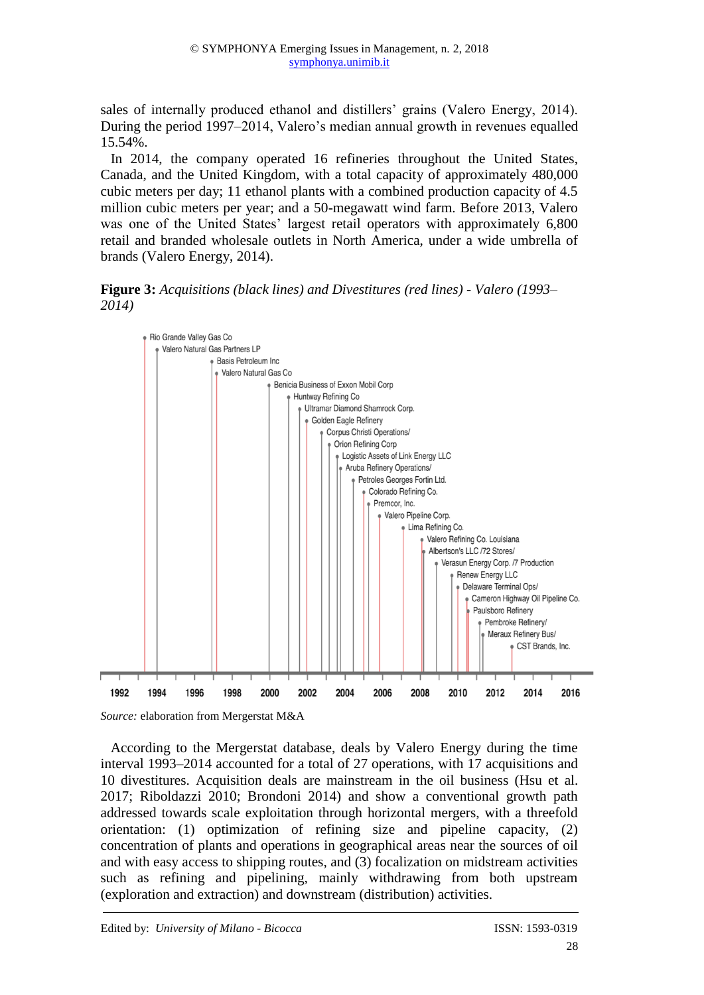sales of internally produced ethanol and distillers' grains (Valero Energy, 2014). During the period 1997–2014, Valero's median annual growth in revenues equalled 15.54%.

In 2014, the company operated 16 refineries throughout the United States, Canada, and the United Kingdom, with a total capacity of approximately 480,000 cubic meters per day; 11 ethanol plants with a combined production capacity of 4.5 million cubic meters per year; and a 50-megawatt wind farm. Before 2013, Valero was one of the United States' largest retail operators with approximately 6,800 retail and branded wholesale outlets in North America, under a wide umbrella of brands (Valero Energy, 2014).

**Figure 3:** *Acquisitions (black lines) and Divestitures (red lines) - Valero (1993– 2014)*



*Source:* elaboration from Mergerstat M&A

According to the Mergerstat database, deals by Valero Energy during the time interval 1993–2014 accounted for a total of 27 operations, with 17 acquisitions and 10 divestitures. Acquisition deals are mainstream in the oil business (Hsu et al. 2017; Riboldazzi 2010; Brondoni 2014) and show a conventional growth path addressed towards scale exploitation through horizontal mergers, with a threefold orientation: (1) optimization of refining size and pipeline capacity, (2) concentration of plants and operations in geographical areas near the sources of oil and with easy access to shipping routes, and (3) focalization on midstream activities such as refining and pipelining, mainly withdrawing from both upstream (exploration and extraction) and downstream (distribution) activities.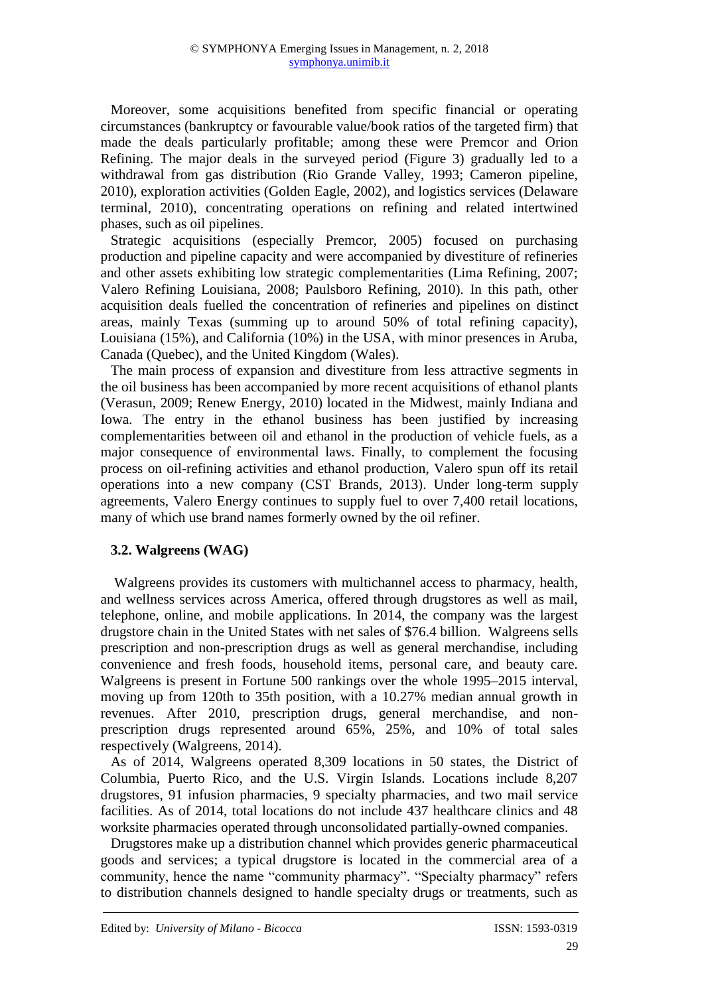Moreover, some acquisitions benefited from specific financial or operating circumstances (bankruptcy or favourable value/book ratios of the targeted firm) that made the deals particularly profitable; among these were Premcor and Orion Refining. The major deals in the surveyed period (Figure 3) gradually led to a withdrawal from gas distribution (Rio Grande Valley, 1993; Cameron pipeline, 2010), exploration activities (Golden Eagle, 2002), and logistics services (Delaware terminal, 2010), concentrating operations on refining and related intertwined phases, such as oil pipelines.

Strategic acquisitions (especially Premcor, 2005) focused on purchasing production and pipeline capacity and were accompanied by divestiture of refineries and other assets exhibiting low strategic complementarities (Lima Refining, 2007; Valero Refining Louisiana, 2008; Paulsboro Refining, 2010). In this path, other acquisition deals fuelled the concentration of refineries and pipelines on distinct areas, mainly Texas (summing up to around 50% of total refining capacity), Louisiana (15%), and California (10%) in the USA, with minor presences in Aruba, Canada (Quebec), and the United Kingdom (Wales).

The main process of expansion and divestiture from less attractive segments in the oil business has been accompanied by more recent acquisitions of ethanol plants (Verasun, 2009; Renew Energy, 2010) located in the Midwest, mainly Indiana and Iowa. The entry in the ethanol business has been justified by increasing complementarities between oil and ethanol in the production of vehicle fuels, as a major consequence of environmental laws. Finally, to complement the focusing process on oil-refining activities and ethanol production, Valero spun off its retail operations into a new company (CST Brands, 2013). Under long-term supply agreements, Valero Energy continues to supply fuel to over 7,400 retail locations, many of which use brand names formerly owned by the oil refiner.

# **3.2. Walgreens (WAG)**

Walgreens provides its customers with multichannel access to pharmacy, health, and wellness services across America, offered through drugstores as well as mail, telephone, online, and mobile applications. In 2014, the company was the largest drugstore chain in the United States with net sales of \$76.4 billion. Walgreens sells prescription and non-prescription drugs as well as general merchandise, including convenience and fresh foods, household items, personal care, and beauty care. Walgreens is present in Fortune 500 rankings over the whole 1995–2015 interval, moving up from 120th to 35th position, with a 10.27% median annual growth in revenues. After 2010, prescription drugs, general merchandise, and nonprescription drugs represented around 65%, 25%, and 10% of total sales respectively (Walgreens, 2014).

As of 2014, Walgreens operated 8,309 locations in 50 states, the District of Columbia, Puerto Rico, and the U.S. Virgin Islands. Locations include 8,207 drugstores, 91 infusion pharmacies, 9 specialty pharmacies, and two mail service facilities. As of 2014, total locations do not include 437 healthcare clinics and 48 worksite pharmacies operated through unconsolidated partially-owned companies.

Drugstores make up a distribution channel which provides generic pharmaceutical goods and services; a typical drugstore is located in the commercial area of a community, hence the name "community pharmacy". "Specialty pharmacy" refers to distribution channels designed to handle specialty drugs or treatments, such as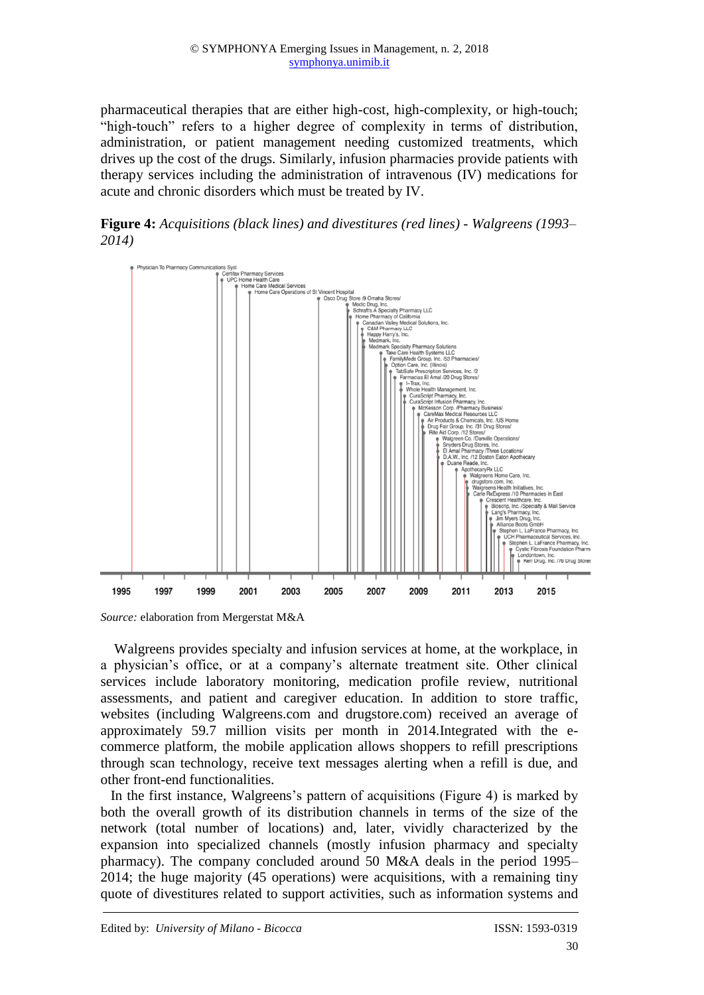pharmaceutical therapies that are either high-cost, high-complexity, or high-touch; "high-touch" refers to a higher degree of complexity in terms of distribution, administration, or patient management needing customized treatments, which drives up the cost of the drugs. Similarly, infusion pharmacies provide patients with therapy services including the administration of intravenous (IV) medications for acute and chronic disorders which must be treated by IV.

**Figure 4:** *Acquisitions (black lines) and divestitures (red lines) - Walgreens (1993– 2014)*



*Source:* elaboration from Mergerstat M&A

Walgreens provides specialty and infusion services at home, at the workplace, in a physician's office, or at a company's alternate treatment site. Other clinical services include laboratory monitoring, medication profile review, nutritional assessments, and patient and caregiver education. In addition to store traffic, websites (including Walgreens.com and drugstore.com) received an average of approximately 59.7 million visits per month in 2014.Integrated with the ecommerce platform, the mobile application allows shoppers to refill prescriptions through scan technology, receive text messages alerting when a refill is due, and other front-end functionalities.

In the first instance, Walgreens's pattern of acquisitions (Figure 4) is marked by both the overall growth of its distribution channels in terms of the size of the network (total number of locations) and, later, vividly characterized by the expansion into specialized channels (mostly infusion pharmacy and specialty pharmacy). The company concluded around 50 M&A deals in the period 1995– 2014; the huge majority (45 operations) were acquisitions, with a remaining tiny quote of divestitures related to support activities, such as information systems and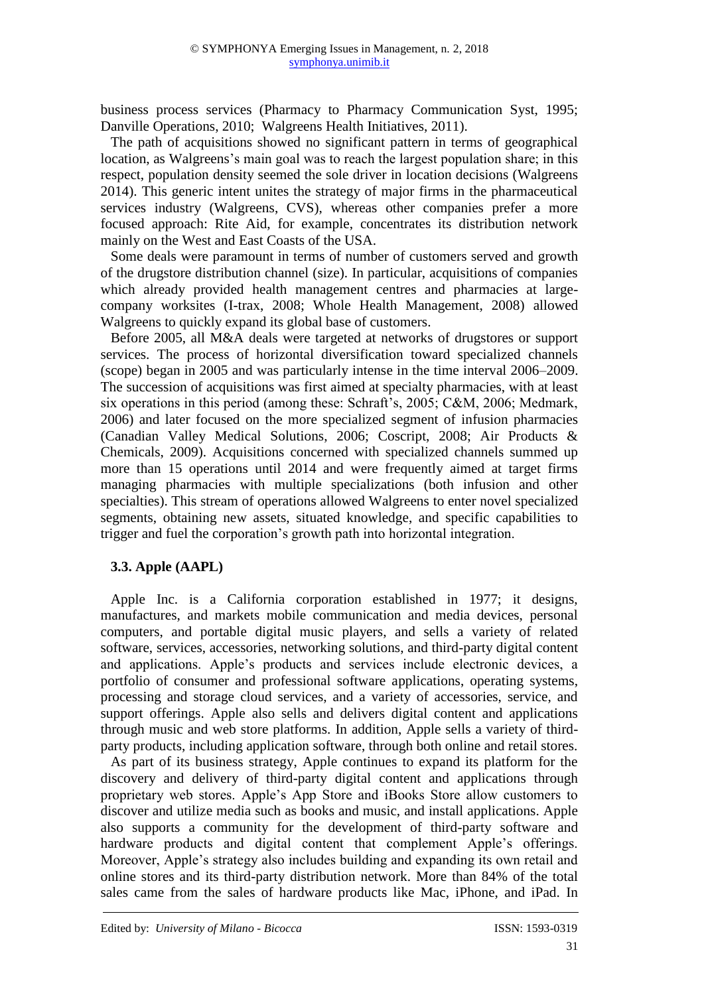business process services (Pharmacy to Pharmacy Communication Syst, 1995; Danville Operations, 2010; Walgreens Health Initiatives, 2011).

The path of acquisitions showed no significant pattern in terms of geographical location, as Walgreens's main goal was to reach the largest population share; in this respect, population density seemed the sole driver in location decisions (Walgreens 2014). This generic intent unites the strategy of major firms in the pharmaceutical services industry (Walgreens, CVS), whereas other companies prefer a more focused approach: Rite Aid, for example, concentrates its distribution network mainly on the West and East Coasts of the USA.

Some deals were paramount in terms of number of customers served and growth of the drugstore distribution channel (size). In particular, acquisitions of companies which already provided health management centres and pharmacies at largecompany worksites (I-trax, 2008; Whole Health Management, 2008) allowed Walgreens to quickly expand its global base of customers.

Before 2005, all M&A deals were targeted at networks of drugstores or support services. The process of horizontal diversification toward specialized channels (scope) began in 2005 and was particularly intense in the time interval 2006–2009. The succession of acquisitions was first aimed at specialty pharmacies, with at least six operations in this period (among these: Schraft's, 2005; C&M, 2006; Medmark, 2006) and later focused on the more specialized segment of infusion pharmacies (Canadian Valley Medical Solutions, 2006; Coscript, 2008; Air Products & Chemicals, 2009). Acquisitions concerned with specialized channels summed up more than 15 operations until 2014 and were frequently aimed at target firms managing pharmacies with multiple specializations (both infusion and other specialties). This stream of operations allowed Walgreens to enter novel specialized segments, obtaining new assets, situated knowledge, and specific capabilities to trigger and fuel the corporation's growth path into horizontal integration.

# **3.3. Apple (AAPL)**

Apple Inc. is a California corporation established in 1977; it designs, manufactures, and markets mobile communication and media devices, personal computers, and portable digital music players, and sells a variety of related software, services, accessories, networking solutions, and third-party digital content and applications. Apple's products and services include electronic devices, a portfolio of consumer and professional software applications, operating systems, processing and storage cloud services, and a variety of accessories, service, and support offerings. Apple also sells and delivers digital content and applications through music and web store platforms. In addition, Apple sells a variety of thirdparty products, including application software, through both online and retail stores.

As part of its business strategy, Apple continues to expand its platform for the discovery and delivery of third-party digital content and applications through proprietary web stores. Apple's App Store and iBooks Store allow customers to discover and utilize media such as books and music, and install applications. Apple also supports a community for the development of third-party software and hardware products and digital content that complement Apple's offerings. Moreover, Apple's strategy also includes building and expanding its own retail and online stores and its third-party distribution network. More than 84% of the total sales came from the sales of hardware products like Mac, iPhone, and iPad. In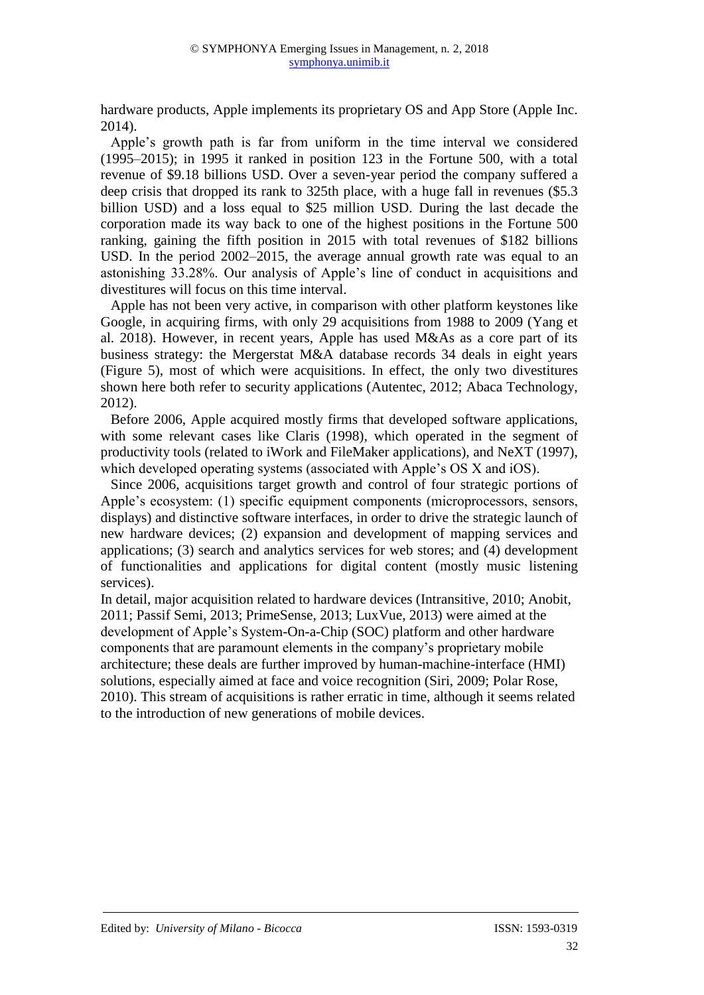hardware products, Apple implements its proprietary OS and App Store (Apple Inc. 2014).

Apple's growth path is far from uniform in the time interval we considered (1995–2015); in 1995 it ranked in position 123 in the Fortune 500, with a total revenue of \$9.18 billions USD. Over a seven-year period the company suffered a deep crisis that dropped its rank to 325th place, with a huge fall in revenues (\$5.3 billion USD) and a loss equal to \$25 million USD. During the last decade the corporation made its way back to one of the highest positions in the Fortune 500 ranking, gaining the fifth position in 2015 with total revenues of \$182 billions USD. In the period 2002–2015, the average annual growth rate was equal to an astonishing 33.28%. Our analysis of Apple's line of conduct in acquisitions and divestitures will focus on this time interval.

Apple has not been very active, in comparison with other platform keystones like Google, in acquiring firms, with only 29 acquisitions from 1988 to 2009 (Yang et al. 2018). However, in recent years, Apple has used M&As as a core part of its business strategy: the Mergerstat M&A database records 34 deals in eight years (Figure 5), most of which were acquisitions. In effect, the only two divestitures shown here both refer to security applications (Autentec, 2012; Abaca Technology, 2012).

Before 2006, Apple acquired mostly firms that developed software applications, with some relevant cases like Claris (1998), which operated in the segment of productivity tools (related to iWork and FileMaker applications), and NeXT (1997), which developed operating systems (associated with Apple's OS X and iOS).

Since 2006, acquisitions target growth and control of four strategic portions of Apple's ecosystem: (1) specific equipment components (microprocessors, sensors, displays) and distinctive software interfaces, in order to drive the strategic launch of new hardware devices; (2) expansion and development of mapping services and applications; (3) search and analytics services for web stores; and (4) development of functionalities and applications for digital content (mostly music listening services).

In detail, major acquisition related to hardware devices (Intransitive, 2010; Anobit, 2011; Passif Semi, 2013; PrimeSense, 2013; LuxVue, 2013) were aimed at the development of Apple's System-On-a-Chip (SOC) platform and other hardware components that are paramount elements in the company's proprietary mobile architecture; these deals are further improved by human-machine-interface (HMI) solutions, especially aimed at face and voice recognition (Siri, 2009; Polar Rose, 2010). This stream of acquisitions is rather erratic in time, although it seems related to the introduction of new generations of mobile devices.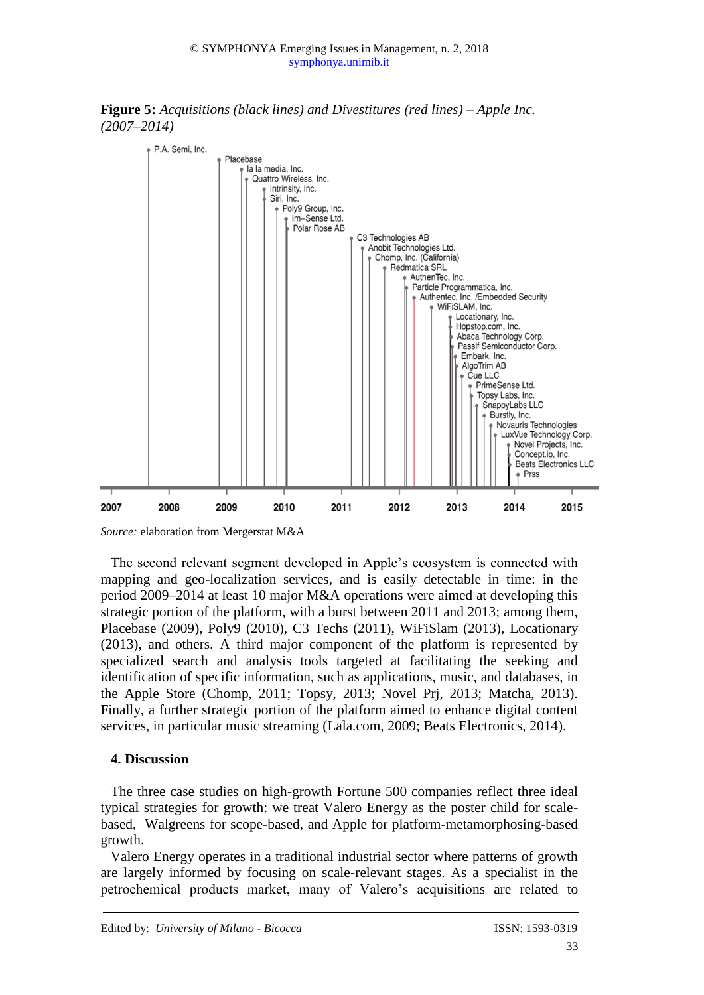



*Source:* elaboration from Mergerstat M&A

The second relevant segment developed in Apple's ecosystem is connected with mapping and geo-localization services, and is easily detectable in time: in the period 2009–2014 at least 10 major M&A operations were aimed at developing this strategic portion of the platform, with a burst between 2011 and 2013; among them, Placebase (2009), Poly9 (2010), C3 Techs (2011), WiFiSlam (2013), Locationary (2013), and others. A third major component of the platform is represented by specialized search and analysis tools targeted at facilitating the seeking and identification of specific information, such as applications, music, and databases, in the Apple Store (Chomp, 2011; Topsy, 2013; Novel Prj, 2013; Matcha, 2013). Finally, a further strategic portion of the platform aimed to enhance digital content services, in particular music streaming (Lala.com, 2009; Beats Electronics, 2014).

# **4. Discussion**

The three case studies on high-growth Fortune 500 companies reflect three ideal typical strategies for growth: we treat Valero Energy as the poster child for scalebased, Walgreens for scope-based, and Apple for platform-metamorphosing-based growth.

Valero Energy operates in a traditional industrial sector where patterns of growth are largely informed by focusing on scale-relevant stages. As a specialist in the petrochemical products market, many of Valero's acquisitions are related to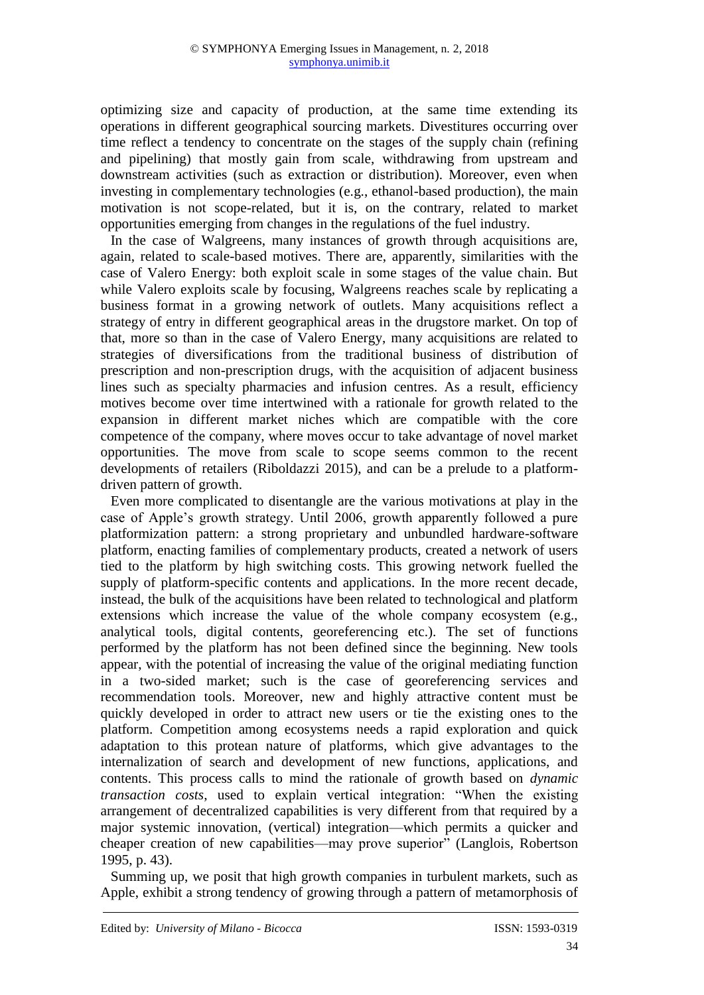optimizing size and capacity of production, at the same time extending its operations in different geographical sourcing markets. Divestitures occurring over time reflect a tendency to concentrate on the stages of the supply chain (refining and pipelining) that mostly gain from scale, withdrawing from upstream and downstream activities (such as extraction or distribution). Moreover, even when investing in complementary technologies (e.g., ethanol-based production), the main motivation is not scope-related, but it is, on the contrary, related to market opportunities emerging from changes in the regulations of the fuel industry.

In the case of Walgreens, many instances of growth through acquisitions are, again, related to scale-based motives. There are, apparently, similarities with the case of Valero Energy: both exploit scale in some stages of the value chain. But while Valero exploits scale by focusing, Walgreens reaches scale by replicating a business format in a growing network of outlets. Many acquisitions reflect a strategy of entry in different geographical areas in the drugstore market. On top of that, more so than in the case of Valero Energy, many acquisitions are related to strategies of diversifications from the traditional business of distribution of prescription and non-prescription drugs, with the acquisition of adjacent business lines such as specialty pharmacies and infusion centres. As a result, efficiency motives become over time intertwined with a rationale for growth related to the expansion in different market niches which are compatible with the core competence of the company, where moves occur to take advantage of novel market opportunities. The move from scale to scope seems common to the recent developments of retailers (Riboldazzi 2015), and can be a prelude to a platformdriven pattern of growth.

Even more complicated to disentangle are the various motivations at play in the case of Apple's growth strategy. Until 2006, growth apparently followed a pure platformization pattern: a strong proprietary and unbundled hardware-software platform, enacting families of complementary products, created a network of users tied to the platform by high switching costs. This growing network fuelled the supply of platform-specific contents and applications. In the more recent decade, instead, the bulk of the acquisitions have been related to technological and platform extensions which increase the value of the whole company ecosystem (e.g., analytical tools, digital contents, georeferencing etc.). The set of functions performed by the platform has not been defined since the beginning. New tools appear, with the potential of increasing the value of the original mediating function in a two-sided market; such is the case of georeferencing services and recommendation tools. Moreover, new and highly attractive content must be quickly developed in order to attract new users or tie the existing ones to the platform. Competition among ecosystems needs a rapid exploration and quick adaptation to this protean nature of platforms, which give advantages to the internalization of search and development of new functions, applications, and contents. This process calls to mind the rationale of growth based on *dynamic transaction costs*, used to explain vertical integration: "When the existing arrangement of decentralized capabilities is very different from that required by a major systemic innovation, (vertical) integration—which permits a quicker and cheaper creation of new capabilities—may prove superior" (Langlois, Robertson 1995, p. 43).

Summing up, we posit that high growth companies in turbulent markets, such as Apple, exhibit a strong tendency of growing through a pattern of metamorphosis of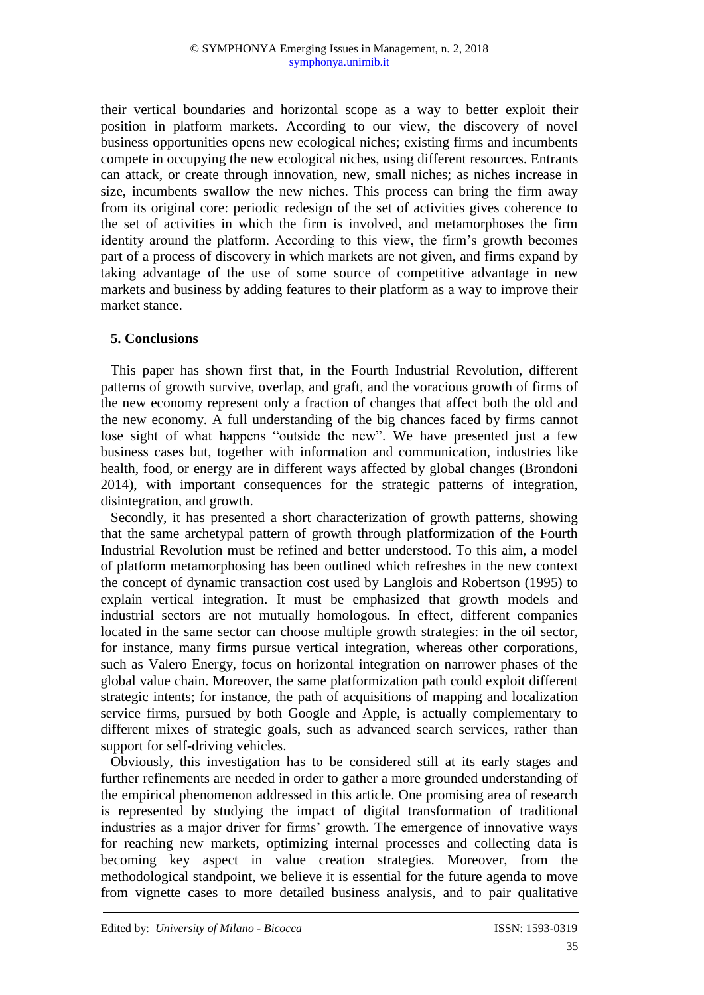their vertical boundaries and horizontal scope as a way to better exploit their position in platform markets. According to our view, the discovery of novel business opportunities opens new ecological niches; existing firms and incumbents compete in occupying the new ecological niches, using different resources. Entrants can attack, or create through innovation, new, small niches; as niches increase in size, incumbents swallow the new niches. This process can bring the firm away from its original core: periodic redesign of the set of activities gives coherence to the set of activities in which the firm is involved, and metamorphoses the firm identity around the platform. According to this view, the firm's growth becomes part of a process of discovery in which markets are not given, and firms expand by taking advantage of the use of some source of competitive advantage in new markets and business by adding features to their platform as a way to improve their market stance.

#### **5. Conclusions**

This paper has shown first that, in the Fourth Industrial Revolution, different patterns of growth survive, overlap, and graft, and the voracious growth of firms of the new economy represent only a fraction of changes that affect both the old and the new economy. A full understanding of the big chances faced by firms cannot lose sight of what happens "outside the new". We have presented just a few business cases but, together with information and communication, industries like health, food, or energy are in different ways affected by global changes (Brondoni 2014), with important consequences for the strategic patterns of integration, disintegration, and growth.

Secondly, it has presented a short characterization of growth patterns, showing that the same archetypal pattern of growth through platformization of the Fourth Industrial Revolution must be refined and better understood. To this aim, a model of platform metamorphosing has been outlined which refreshes in the new context the concept of dynamic transaction cost used by Langlois and Robertson (1995) to explain vertical integration. It must be emphasized that growth models and industrial sectors are not mutually homologous. In effect, different companies located in the same sector can choose multiple growth strategies: in the oil sector, for instance, many firms pursue vertical integration, whereas other corporations, such as Valero Energy, focus on horizontal integration on narrower phases of the global value chain. Moreover, the same platformization path could exploit different strategic intents; for instance, the path of acquisitions of mapping and localization service firms, pursued by both Google and Apple, is actually complementary to different mixes of strategic goals, such as advanced search services, rather than support for self-driving vehicles.

Obviously, this investigation has to be considered still at its early stages and further refinements are needed in order to gather a more grounded understanding of the empirical phenomenon addressed in this article. One promising area of research is represented by studying the impact of digital transformation of traditional industries as a major driver for firms' growth. The emergence of innovative ways for reaching new markets, optimizing internal processes and collecting data is becoming key aspect in value creation strategies. Moreover, from the methodological standpoint, we believe it is essential for the future agenda to move from vignette cases to more detailed business analysis, and to pair qualitative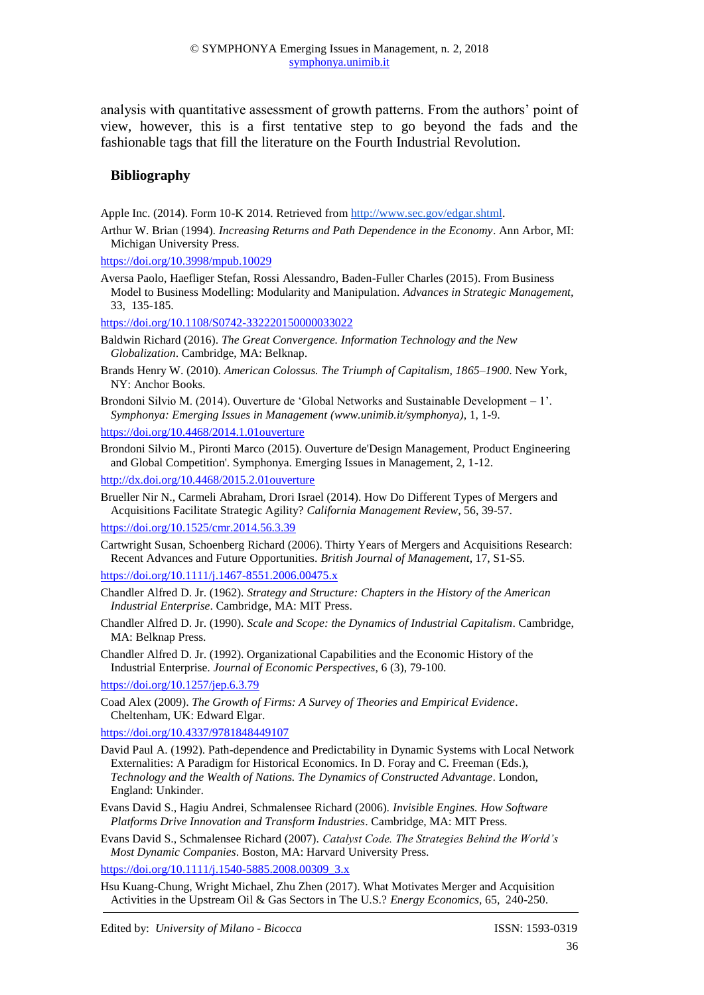analysis with quantitative assessment of growth patterns. From the authors' point of view, however, this is a first tentative step to go beyond the fads and the fashionable tags that fill the literature on the Fourth Industrial Revolution.

#### **Bibliography**

Apple Inc. (2014). Form 10-K 2014. Retrieved from [http://www.sec.gov/edgar.shtml.](http://www.sec.gov/edgar.shtml)

Arthur W. Brian (1994). *Increasing Returns and Path Dependence in the Economy*. Ann Arbor, MI: Michigan University Press.

<https://doi.org/10.3998/mpub.10029>

Aversa Paolo, Haefliger Stefan, Rossi Alessandro, Baden-Fuller Charles (2015). From Business Model to Business Modelling: Modularity and Manipulation. *Advances in Strategic Management,*  33, 135-185.

<https://doi.org/10.1108/S0742-332220150000033022>

Baldwin Richard (2016). *The Great Convergence. Information Technology and the New Globalization*. Cambridge, MA: Belknap.

Brands Henry W. (2010). *American Colossus. The Triumph of Capitalism, 1865–1900*. New York, NY: Anchor Books.

Brondoni Silvio M. (2014). Ouverture de 'Global Networks and Sustainable Development – 1'. *Symphonya: Emerging Issues in Management (www.unimib.it/symphonya)*, 1, 1-9.

- <https://doi.org/10.4468/2014.1.01ouverture>
- Brondoni Silvio M., Pironti Marco (2015). Ouverture de'Design Management, Product Engineering and Global Competition'. Symphonya. Emerging Issues in Management, 2, 1-12. <http://dx.doi.org/10.4468/2015.2.01ouverture>

Brueller Nir N., Carmeli Abraham, Drori Israel (2014). How Do Different Types of Mergers and Acquisitions Facilitate Strategic Agility? *California Management Review*, 56, 39-57.

<https://doi.org/10.1525/cmr.2014.56.3.39>

Cartwright Susan, Schoenberg Richard (2006). Thirty Years of Mergers and Acquisitions Research: Recent Advances and Future Opportunities. *British Journal of Management*, 17, S1-S5.

<https://doi.org/10.1111/j.1467-8551.2006.00475.x>

- Chandler Alfred D. Jr. (1962). *Strategy and Structure: Chapters in the History of the American Industrial Enterprise*. Cambridge, MA: MIT Press.
- Chandler Alfred D. Jr. (1990). *Scale and Scope: the Dynamics of Industrial Capitalism*. Cambridge, MA: Belknap Press.

Chandler Alfred D. Jr. (1992). Organizational Capabilities and the Economic History of the Industrial Enterprise. *Journal of Economic Perspectives*, 6 (3), 79-100.

<https://doi.org/10.1257/jep.6.3.79>

Coad Alex (2009). *The Growth of Firms: A Survey of Theories and Empirical Evidence*. Cheltenham, UK: Edward Elgar.

<https://doi.org/10.4337/9781848449107>

- David Paul A. (1992). Path-dependence and Predictability in Dynamic Systems with Local Network Externalities: A Paradigm for Historical Economics. In D. Foray and C. Freeman (Eds.), *Technology and the Wealth of Nations. The Dynamics of Constructed Advantage*. London, England: Unkinder.
- Evans David S., Hagiu Andrei, Schmalensee Richard (2006). *Invisible Engines. How Software Platforms Drive Innovation and Transform Industries*. Cambridge, MA: MIT Press.
- Evans David S., Schmalensee Richard (2007). *Catalyst Code. The Strategies Behind the World's Most Dynamic Companies*. Boston, MA: Harvard University Press.

[https://doi.org/10.1111/j.1540-5885.2008.00309\\_3.x](https://doi.org/10.1111/j.1540-5885.2008.00309_3.x)

Hsu Kuang-Chung, Wright Michael, Zhu Zhen (2017). What Motivates Merger and Acquisition Activities in the Upstream Oil & Gas Sectors in The U.S.? *Energy Economics,* 65, 240-250.